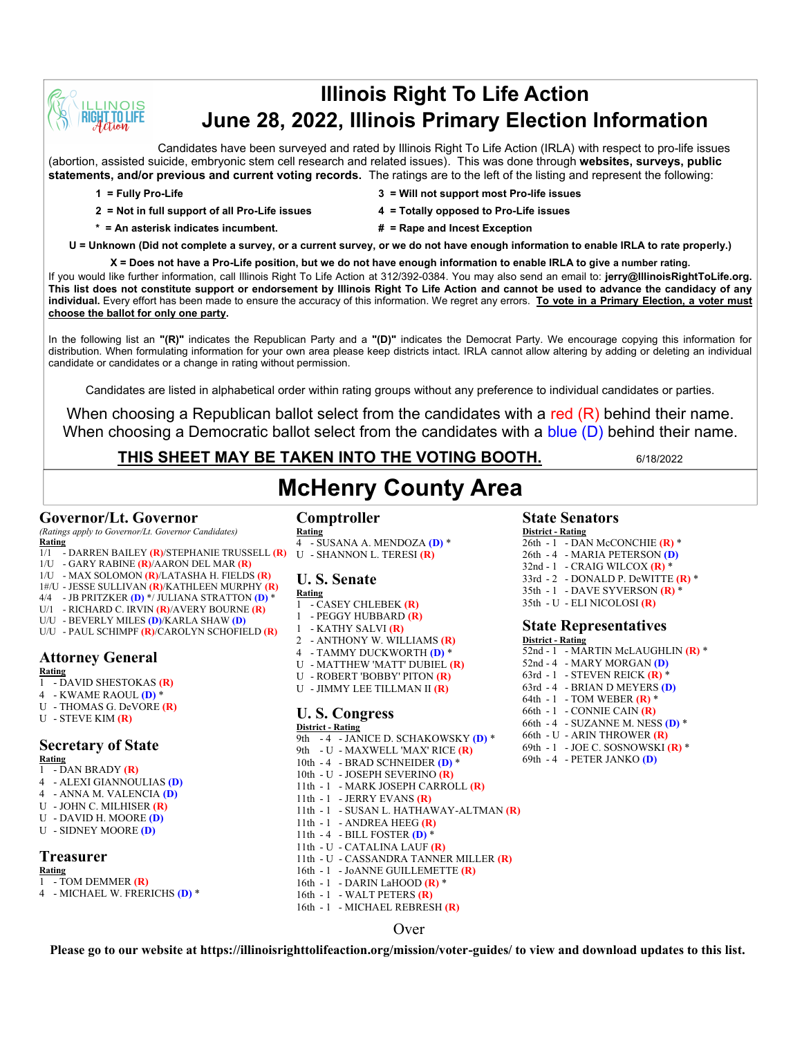

## **Illinois Right To Life Action June 28, 2022, Illinois Primary Election Information**

Candidates have been surveyed and rated by Illinois Right To Life Action (IRLA) with respect to pro-life issues (abortion, assisted suicide, embryonic stem cell research and related issues). This was done through **websites, surveys, public statements, and/or previous and current voting records.** The ratings are to the left of the listing and represent the following:

- 
- **1 = Fully Pro-Life 3 = Will not support most Pro-life issues**
- **2 = Not in full support of all Pro-Life issues 4 = Totally opposed to Pro-Life issues**
- 
- 
- **\* = An asterisk indicates incumbent. # = Rape and Incest Exception**
- 

**U = Unknown (Did not complete a survey, or a current survey, or we do not have enough information to enable IRLA to rate properly.)**

**X = Does not have a Pro-Life position, but we do not have enough information to enable IRLA to give a number rating.** 

If you would like further information, call Illinois Right To Life Action at 312/392-0384. You may also send an email to: **jerry@IllinoisRightToLife.org. This list does not constitute support or endorsement by Illinois Right To Life Action and cannot be used to advance the candidacy of any individual.** Every effort has been made to ensure the accuracy of this information. We regret any errors. **To vote in a Primary Election, a voter must choose the ballot for only one party.**

In the following list an **"(R)"** indicates the Republican Party and a **"(D)"** indicates the Democrat Party. We encourage copying this information for distribution. When formulating information for your own area please keep districts intact. IRLA cannot allow altering by adding or deleting an individual candidate or candidates or a change in rating without permission.

Candidates are listed in alphabetical order within rating groups without any preference to individual candidates or parties.

When choosing a Republican ballot select from the candidates with a red (R) behind their name. When choosing a Democratic ballot select from the candidates with a blue (D) behind their name.

### **THIS SHEET MAY BE TAKEN INTO THE VOTING BOOTH.** 6/18/2022

# **McHenry County Area**

#### **Governor/Lt. Governor**

*(Ratings apply to Governor/Lt. Governor Candidates)* **Rating**

- 1/1 DARREN BAILEY **(R)**/STEPHANIE TRUSSELL **(R)**
- 1/U GARY RABINE **(R)**/AARON DEL MAR **(R)**
- 1/U MAX SOLOMON **(R)**/LATASHA H. FIELDS **(R)**
- 1#/U JESSE SULLIVAN **(R)**/KATHLEEN MURPHY **(R)**
- 4/4 JB PRITZKER **(D)** \*/ JULIANA STRATTON **(D)** \*
- U/1 RICHARD C. IRVIN **(R)**/AVERY BOURNE **(R)**
- U/U BEVERLY MILES **(D)**/KARLA SHAW **(D)**
- U/U PAUL SCHIMPF **(R)**/CAROLYN SCHOFIELD **(R)**

### **Attorney General**

- **Rating** 1 - DAVID SHESTOKAS **(R)**
- 4 KWAME RAOUL **(D)** \*
- U THOMAS G. DeVORE **(R)**
- U STEVE KIM **(R)**

## **Secretary of State**

**Rating**

- 1 DAN BRADY **(R)** 4 - ALEXI GIANNOULIAS **(D)**
- 
- 4 ANNA M. VALENCIA **(D)** U - JOHN C. MILHISER **(R)**
- U DAVID H. MOORE **(D)**
- U SIDNEY MOORE **(D)**
- **Treasurer**

#### **Rating**

- 1 TOM DEMMER **(R)**
- 4 MICHAEL W. FRERICHS **(D)** \*

### **Comptroller**

**Rating** 4 - SUSANA A. MENDOZA **(D)** \* U - SHANNON L. TERESI **(R)**

### **U. S. Senate**

- **Rating** 1 - CASEY CHLEBEK **(R)**
- 1 PEGGY HUBBARD **(R)**
- 1 KATHY SALVI **(R)**
- 2 ANTHONY W. WILLIAMS **(R)**
- 4 TAMMY DUCKWORTH **(D)** \*
- U MATTHEW 'MATT' DUBIEL **(R)**
- U ROBERT 'BOBBY' PITON **(R)**
- U JIMMY LEE TILLMAN II **(R)**

### **U. S. Congress**

- **District - Rating** 9th - 4 - JANICE D. SCHAKOWSKY **(D)** \* 9th - U - MAXWELL 'MAX' RICE **(R)** 10th - 4 - BRAD SCHNEIDER **(D)** \* 10th - U - JOSEPH SEVERINO **(R)** 11th - 1 - MARK JOSEPH CARROLL **(R)** 11th - 1 - JERRY EVANS **(R)** 11th - 1 - SUSAN L. HATHAWAY-ALTMAN **(R)** 11th - 1 - ANDREA HEEG **(R)** 11th - 4 - BILL FOSTER **(D)** \* 11th - U - CATALINA LAUF **(R)** 11th - U - CASSANDRA TANNER MILLER **(R)** 16th - 1 - JoANNE GUILLEMETTE **(R)** 16th - 1 - DARIN LaHOOD **(R)** \* 16th - 1 - WALT PETERS **(R)**
- 16th 1 MICHAEL REBRESH **(R)**

#### Over

**State Senators District - Rating**

- 26th 1 DAN McCONCHIE **(R)** \* 26th - 4 - MARIA PETERSON **(D)**
- 32nd 1 CRAIG WILCOX **(R)** \*
- 33rd 2 DONALD P. DeWITTE **(R)** \*
- 35th 1 DAVE SYVERSON **(R)** \*
- 35th U ELI NICOLOSI **(R)**

#### **State Representatives**

**District - Rating** 52nd - 1 - MARTIN McLAUGHLIN **(R)** \* 52nd - 4 - MARY MORGAN **(D)** 63rd - 1 - STEVEN REICK **(R)** \* 63rd - 4 - BRIAN D MEYERS **(D)** 64th - 1 - TOM WEBER **(R)** \* 66th - 1 - CONNIE CAIN **(R)** 66th - 4 - SUZANNE M. NESS **(D)** \* 66th - U - ARIN THROWER **(R)** 69th - 1 - JOE C. SOSNOWSKI **(R)** \* 69th - 4 - PETER JANKO **(D)**

**Please go to our website at https://illinoisrighttolifeaction.org/mission/voter-guides/ to view and download updates to this list.**